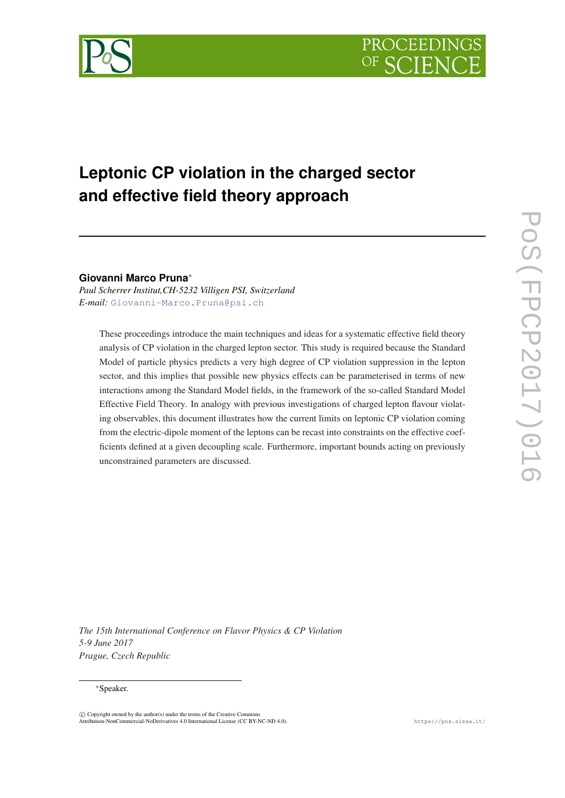

# **Leptonic CP violation in the charged sector and effective field theory approach**

# **Giovanni Marco Pruna**<sup>∗</sup>

*Paul Scherrer Institut,CH-5232 Villigen PSI, Switzerland E-mail:* [Giovanni-Marco.Pruna@psi.ch](mailto:Giovanni-Marco.Pruna@psi.ch)

These proceedings introduce the main techniques and ideas for a systematic effective field theory analysis of CP violation in the charged lepton sector. This study is required because the Standard Model of particle physics predicts a very high degree of CP violation suppression in the lepton sector, and this implies that possible new physics effects can be parameterised in terms of new interactions among the Standard Model fields, in the framework of the so-called Standard Model Effective Field Theory. In analogy with previous investigations of charged lepton flavour violating observables, this document illustrates how the current limits on leptonic CP violation coming from the electric-dipole moment of the leptons can be recast into constraints on the effective coefficients defined at a given decoupling scale. Furthermore, important bounds acting on previously unconstrained parameters are discussed.

*The 15th International Conference on Flavor Physics & CP Violation 5-9 June 2017 Prague, Czech Republic*

#### <sup>∗</sup>Speaker.

 $\overline{c}$  Copyright owned by the author(s) under the terms of the Creative Common Attribution-NonCommercial-NoDerivatives 4.0 International License (CC BY-NC-ND 4.0). https://pos.sissa.it/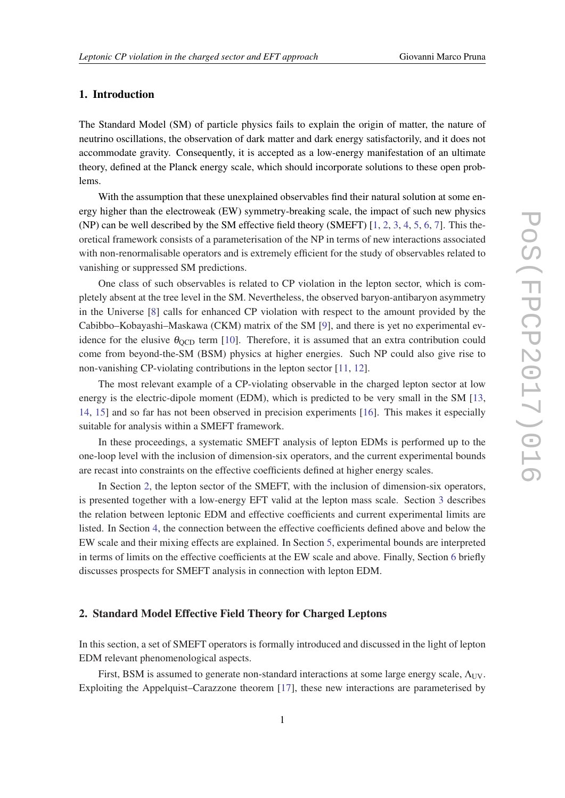# 1. Introduction

The Standard Model (SM) of particle physics fails to explain the origin of matter, the nature of neutrino oscillations, the observation of dark matter and dark energy satisfactorily, and it does not accommodate gravity. Consequently, it is accepted as a low-energy manifestation of an ultimate theory, defined at the Planck energy scale, which should incorporate solutions to these open problems.

With the assumption that these unexplained observables find their natural solution at some energy higher than the electroweak (EW) symmetry-breaking scale, the impact of such new physics (NP) can be well described by the SM effective field theory (SMEFT) [[1](#page-7-0), [2](#page-7-0), [3,](#page-7-0) [4,](#page-7-0) [5,](#page-7-0) [6](#page-7-0), [7](#page-7-0)]. This theoretical framework consists of a parameterisation of the NP in terms of new interactions associated with non-renormalisable operators and is extremely efficient for the study of observables related to vanishing or suppressed SM predictions.

One class of such observables is related to CP violation in the lepton sector, which is completely absent at the tree level in the SM. Nevertheless, the observed baryon-antibaryon asymmetry in the Universe [\[8\]](#page-7-0) calls for enhanced CP violation with respect to the amount provided by the Cabibbo–Kobayashi–Maskawa (CKM) matrix of the SM [\[9\]](#page-7-0), and there is yet no experimental evidence for the elusive  $\theta_{\text{QCD}}$  term [[10\]](#page-8-0). Therefore, it is assumed that an extra contribution could come from beyond-the-SM (BSM) physics at higher energies. Such NP could also give rise to non-vanishing CP-violating contributions in the lepton sector [\[11](#page-8-0), [12\]](#page-8-0).

The most relevant example of a CP-violating observable in the charged lepton sector at low energy is the electric-dipole moment (EDM), which is predicted to be very small in the SM [\[13](#page-8-0), [14](#page-8-0), [15](#page-8-0)] and so far has not been observed in precision experiments [[16\]](#page-8-0). This makes it especially suitable for analysis within a SMEFT framework.

In these proceedings, a systematic SMEFT analysis of lepton EDMs is performed up to the one-loop level with the inclusion of dimension-six operators, and the current experimental bounds are recast into constraints on the effective coefficients defined at higher energy scales.

In Section 2, the lepton sector of the SMEFT, with the inclusion of dimension-six operators, is presented together with a low-energy EFT valid at the lepton mass scale. Section [3](#page-4-0) describes the relation between leptonic EDM and effective coefficients and current experimental limits are listed. In Section [4](#page-5-0), the connection between the effective coefficients defined above and below the EW scale and their mixing effects are explained. In Section [5,](#page-6-0) experimental bounds are interpreted in terms of limits on the effective coefficients at the EW scale and above. Finally, Section [6](#page-7-0) briefly discusses prospects for SMEFT analysis in connection with lepton EDM.

#### 2. Standard Model Effective Field Theory for Charged Leptons

In this section, a set of SMEFT operators is formally introduced and discussed in the light of lepton EDM relevant phenomenological aspects.

First, BSM is assumed to generate non-standard interactions at some large energy scale,  $\Lambda_{UV}$ . Exploiting the Appelquist–Carazzone theorem [\[17\]](#page-8-0), these new interactions are parameterised by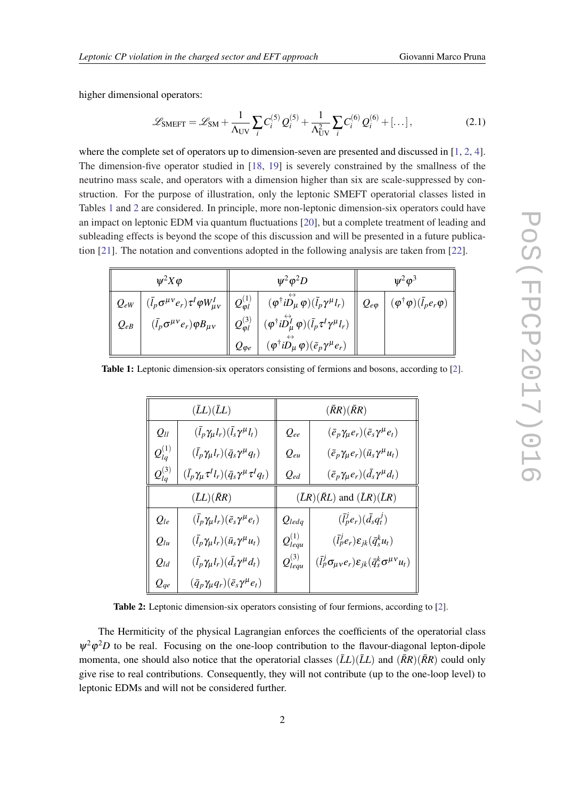<span id="page-2-0"></span>higher dimensional operators:

$$
\mathcal{L}_{\text{SMEFT}} = \mathcal{L}_{\text{SM}} + \frac{1}{\Lambda_{\text{UV}}} \sum_{i} C_{i}^{(5)} Q_{i}^{(5)} + \frac{1}{\Lambda_{\text{UV}}^2} \sum_{i} C_{i}^{(6)} Q_{i}^{(6)} + [\dots], \tag{2.1}
$$

where the complete set of operators up to dimension-seven are presented and discussed in [[1](#page-7-0), [2,](#page-7-0) [4\]](#page-7-0). The dimension-five operator studied in [\[18](#page-8-0), [19\]](#page-8-0) is severely constrained by the smallness of the neutrino mass scale, and operators with a dimension higher than six are scale-suppressed by construction. For the purpose of illustration, only the leptonic SMEFT operatorial classes listed in Tables 1 and 2 are considered. In principle, more non-leptonic dimension-six operators could have an impact on leptonic EDM via quantum fluctuations [\[20\]](#page-8-0), but a complete treatment of leading and subleading effects is beyond the scope of this discussion and will be presented in a future publication [[21\]](#page-8-0). The notation and conventions adopted in the following analysis are taken from [[22\]](#page-8-0).

| $\psi^2 X \varphi$ |                                                      | $\Psi^2 \varphi^2 D$ |                                                                                                                                                                                                                                                                                                                                                    | $\psi^2 \varphi^3$ |  |
|--------------------|------------------------------------------------------|----------------------|----------------------------------------------------------------------------------------------------------------------------------------------------------------------------------------------------------------------------------------------------------------------------------------------------------------------------------------------------|--------------------|--|
|                    |                                                      |                      | $\Big\ \;{\cal Q}_{eW}\;\left \;(\bar l_p\sigma^{\mu\nu}e_r)\tau^I\varphi W_{\mu\nu}^I\;\right\ \;{\cal Q}_{\varphi I}^{(1)}\;\left \; \begin{array}{c} (\varphi^\dagger i\overset{\leftrightarrow}{D_\mu}\varphi)(\bar l_p\gamma^\mu l_r) \end{array}\right\ \;{\cal Q}_{e\varphi}\;\left \;(\varphi^\dagger\varphi)(\bar l_p e_r\varphi)\right.$ |                    |  |
| $Q_{eB}$           | $(\bar{l}_p \sigma^{\mu\nu} e_r) \varphi B_{\mu\nu}$ |                      | $\left\ \,\mathcal{Q}_{\varphi l}^{(3)}\,\,\right  \,(\varphi^\dagger i \overset{\leftrightarrow}{D^I_\mu} \varphi) (\bar{l}_p \tau^I \gamma^\mu l_r)$                                                                                                                                                                                             |                    |  |
|                    |                                                      | $Q_{\varphi e}$      | $(\varphi^{\dagger}i\stackrel{\leftrightarrow}{D_{\mu}}\varphi)(\bar{e}_{p}\gamma^{\mu}e_{r})$                                                                                                                                                                                                                                                     |                    |  |

Table 1: Leptonic dimension-six operators consisting of fermions and bosons, according to [\[2](#page-7-0)].

|                | $(\bar{L}L)(\bar{L}L)$                                               |                  | $(\bar{R}R)(\bar{R}R)$                                                                 |  |
|----------------|----------------------------------------------------------------------|------------------|----------------------------------------------------------------------------------------|--|
| $Q_{ll}$       | $(\bar{l}_p \gamma_\mu l_r)(\bar{l}_s \gamma^\mu l_t)$               | $Q_{ee}$         | $(\bar{e}_p \gamma_\mu e_r)(\bar{e}_s \gamma^\mu e_t)$                                 |  |
| $Q_{la}^{(1)}$ | $(\bar{l}_p \gamma_\mu l_r)(\bar{q}_s \gamma^\mu q_t)$               | $Q_{eu}$         | $(\bar{e}_p \gamma_\mu e_r)(\bar{u}_s \gamma^\mu u_t)$                                 |  |
| $Q_{la}^{(3)}$ | $(\bar{l}_p \gamma_\mu \tau^I l_r)(\bar{q}_s \gamma^\mu \tau^I q_t)$ | $Q_{ed}$         | $(\bar{e}_p \gamma_\mu e_r)(\bar{d}_s \gamma^\mu d_t)$                                 |  |
|                | $(\bar{L}L)(\bar{R}R)$                                               |                  | $(\bar{L}R)(\bar{R}L)$ and $(\bar{L}R)(\bar{L}R)$                                      |  |
| $Q_{le}$       | $(\bar{l}_p \gamma_\mu l_r)(\bar{e}_s \gamma^\mu e_t)$               | $Q_{ledq}$       | $(\bar{l}_p^j e_r)(\bar{d}_s q_t^j)$                                                   |  |
| $Q_{lu}$       | $(\bar{l}_p \gamma_\mu l_r)(\bar{u}_s \gamma^\mu u_t)$               | $Q_{lequ}^{(1)}$ | $(\bar{l}_p^j e_r) \varepsilon_{jk} (\bar{q}_s^k u_t)$                                 |  |
| $Q_{ld}$       | $(\bar{l}_p \gamma_\mu l_r)(\bar{d}_s \gamma^\mu d_t)$               | $Q_{lequ}^{(3)}$ | $(\bar{l}_p^j \sigma_{\mu\nu} e_r) \varepsilon_{ik} (\bar{q}_s^k \sigma^{\mu\nu} u_t)$ |  |
| $Q_{qe}$       | $(\bar{q}_p \gamma_\mu q_r)(\bar{e}_s \gamma^\mu e_t)$               |                  |                                                                                        |  |

Table 2: Leptonic dimension-six operators consisting of four fermions, according to [[2\]](#page-7-0).

The Hermiticity of the physical Lagrangian enforces the coefficients of the operatorial class  $\psi^2 \varphi^2 D$  to be real. Focusing on the one-loop contribution to the flavour-diagonal lepton-dipole momenta, one should also notice that the operatorial classes  $(\bar{L}L)(\bar{L}L)$  and  $(\bar{R}R)(\bar{R}R)$  could only give rise to real contributions. Consequently, they will not contribute (up to the one-loop level) to leptonic EDMs and will not be considered further.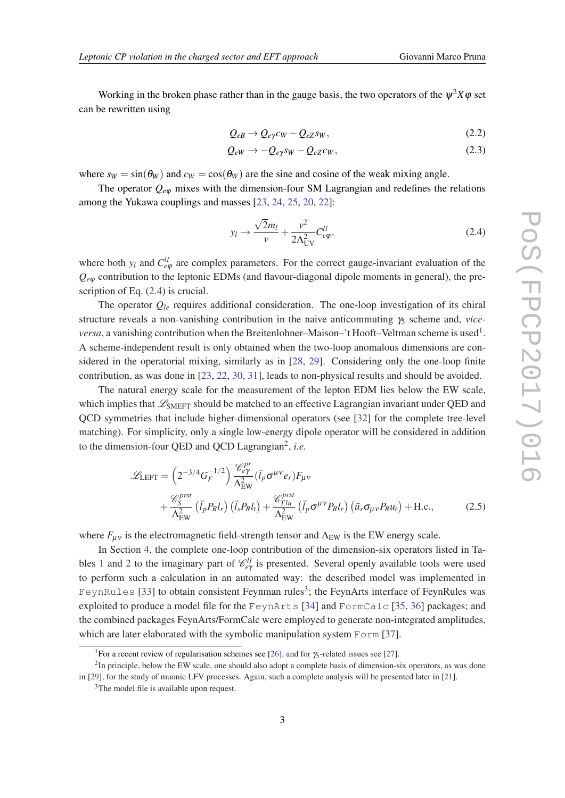<span id="page-3-0"></span>Working in the broken phase rather than in the gauge basis, the two operators of the  $\psi^2 X \varphi$  set can be rewritten using

$$
Q_{eB} \to Q_{e\gamma}c_W - Q_{eZ}s_W, \qquad (2.2)
$$

$$
Q_{eW} \to -Q_{e\gamma} s_W - Q_{eZ} c_W, \qquad (2.3)
$$

where  $s_W = \sin(\theta_W)$  and  $c_W = \cos(\theta_W)$  are the sine and cosine of the weak mixing angle.

The operator  $Q_{e\varphi}$  mixes with the dimension-four SM Lagrangian and redefines the relations among the Yukawa couplings and masses [\[23](#page-8-0), [24,](#page-8-0) [25,](#page-8-0) [20](#page-8-0), [22\]](#page-8-0):

$$
y_l \to \frac{\sqrt{2}m_l}{v} + \frac{v^2}{2\Lambda_{\text{UV}}^2} C_{e\varphi}^{ll}, \tag{2.4}
$$

where both  $y_l$  and  $C_{e\varphi}^{ll}$  are complex parameters. For the correct gauge-invariant evaluation of the  $Q_{e\varphi}$  contribution to the leptonic EDMs (and flavour-diagonal dipole moments in general), the prescription of Eq. (2.4) is crucial.

The operator  $Q_{le}$  requires additional consideration. The one-loop investigation of its chiral structure reveals a non-vanishing contribution in the naive anticommuting γ<sup>5</sup> scheme and, *vice*versa, a vanishing contribution when the Breitenlohner–Maison–'t Hooft–Veltman scheme is used<sup>1</sup>. A scheme-independent result is only obtained when the two-loop anomalous dimensions are considered in the operatorial mixing, similarly as in [\[28](#page-8-0), [29\]](#page-8-0). Considering only the one-loop finite contribution, as was done in [\[23,](#page-8-0) [22](#page-8-0), [30,](#page-9-0) [31](#page-9-0)], leads to non-physical results and should be avoided.

The natural energy scale for the measurement of the lepton EDM lies below the EW scale, which implies that  $\mathcal{L}_{\text{SMEFT}}$  should be matched to an effective Lagrangian invariant under QED and QCD symmetries that include higher-dimensional operators (see [\[32](#page-9-0)] for the complete tree-level matching). For simplicity, only a single low-energy dipole operator will be considered in addition to the dimension-four QED and QCD Lagrangian<sup>2</sup> , *i.e.*

$$
\mathcal{L}_{\text{LEFT}} = \left(2^{-3/4} G_F^{-1/2}\right) \frac{\mathcal{C}_{e\gamma}^{pr}}{\Lambda_{\text{EW}}^2} (\bar{l}_p \sigma^{\mu \nu} e_r) F_{\mu \nu} \n+ \frac{\mathcal{C}_{S}^{prst}}{\Lambda_{\text{EW}}^2} (\bar{l}_p P_R l_r) (\bar{l}_s P_R l_t) + \frac{\mathcal{C}_{T1u}^{prst}}{\Lambda_{\text{EW}}^2} (\bar{l}_p \sigma^{\mu \nu} P_R l_r) (\bar{u}_s \sigma_{\mu \nu} P_R u_t) + \text{H.c.},
$$
\n(2.5)

where  $F_{\mu\nu}$  is the electromagnetic field-strength tensor and  $\Lambda_{\rm EW}$  is the EW energy scale.

In Section [4](#page-5-0), the complete one-loop contribution of the dimension-six operators listed in Ta-bles [1](#page-2-0) and [2](#page-2-0) to the imaginary part of  $\mathcal{C}_{eq}^{ll}$  is presented. Several openly available tools were used to perform such a calculation in an automated way: the described model was implemented in FeynRules [\[33\]](#page-9-0) to obtain consistent Feynman rules<sup>3</sup>; the FeynArts interface of FeynRules was exploited to produce a model file for the FeynArts [\[34](#page-9-0)] and FormCalc [\[35](#page-9-0), [36\]](#page-9-0) packages; and the combined packages FeynArts/FormCalc were employed to generate non-integrated amplitudes, which are later elaborated with the symbolic manipulation system Form [[37\]](#page-9-0).

<sup>&</sup>lt;sup>1</sup>For a recent review of regularisation schemes see [\[26](#page-8-0)], and for  $\frac{\pi}{2}$ -related issues see [\[27](#page-8-0)].

 $2$ In principle, below the EW scale, one should also adopt a complete basis of dimension-six operators, as was done in [[29\]](#page-8-0), for the study of muonic LFV processes. Again, such a complete analysis will be presented later in [\[21](#page-8-0)].

<sup>&</sup>lt;sup>3</sup>The model file is available upon request.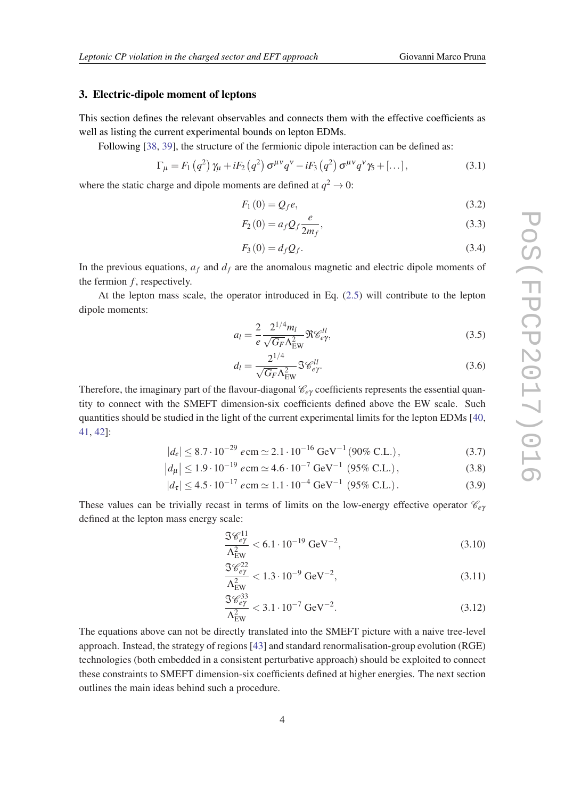### <span id="page-4-0"></span>3. Electric-dipole moment of leptons

This section defines the relevant observables and connects them with the effective coefficients as well as listing the current experimental bounds on lepton EDMs.

Following [\[38](#page-9-0), [39\]](#page-9-0), the structure of the fermionic dipole interaction can be defined as:

$$
\Gamma_{\mu} = F_1 \left( q^2 \right) \gamma_{\mu} + i F_2 \left( q^2 \right) \sigma^{\mu \nu} q^{\nu} - i F_3 \left( q^2 \right) \sigma^{\mu \nu} q^{\nu} \gamma_5 + \left[ \dots \right], \tag{3.1}
$$

where the static charge and dipole moments are defined at  $q^2 \to 0$ :

$$
F_1(0) = Q_f e, \tag{3.2}
$$

$$
F_2(0) = a_f Q_f \frac{e}{2m_f},
$$
\n(3.3)

$$
F_3(0) = d_f Q_f. \tag{3.4}
$$

In the previous equations,  $a_f$  and  $d_f$  are the anomalous magnetic and electric dipole moments of the fermion  $f$ , respectively.

At the lepton mass scale, the operator introduced in Eq. ([2.5](#page-3-0)) will contribute to the lepton dipole moments:

$$
a_l = \frac{2}{e} \frac{2^{1/4} m_l}{\sqrt{G_F} \Lambda_{\rm EW}^2} \Re \mathcal{C}_{e\gamma}^{ll},
$$
\n(3.5)

$$
d_l = \frac{2^{1/4}}{\sqrt{G_F} \Lambda_{\rm EW}^2} \mathfrak{F}^{\mathcal{U}l}_{e\gamma}.
$$
 (3.6)

Therefore, the imaginary part of the flavour-diagonal  $\mathcal{C}_{e\gamma}$  coefficients represents the essential quantity to connect with the SMEFT dimension-six coefficients defined above the EW scale. Such quantities should be studied in the light of the current experimental limits for the lepton EDMs [\[40](#page-9-0), [41](#page-9-0), [42\]](#page-9-0):

$$
|d_e| \le 8.7 \cdot 10^{-29} e \, \text{cm} \simeq 2.1 \cdot 10^{-16} \, \text{GeV}^{-1} \, (90\% \, \text{C.L.}), \tag{3.7}
$$

$$
|d_{\mu}| \le 1.9 \cdot 10^{-19} e \text{ cm} \simeq 4.6 \cdot 10^{-7} \text{ GeV}^{-1} (95\% \text{ C.L.}), \qquad (3.8)
$$

$$
|d_{\tau}| \le 4.5 \cdot 10^{-17} e \text{cm} \simeq 1.1 \cdot 10^{-4} \text{ GeV}^{-1} \ (95\% \text{ C.L.}). \tag{3.9}
$$

These values can be trivially recast in terms of limits on the low-energy effective operator  $\mathcal{C}_{\rho\nu}$ defined at the lepton mass energy scale:

$$
\frac{\Im \mathcal{C}_{e\gamma}^{11}}{\Lambda_{\rm EW}^2} < 6.1 \cdot 10^{-19} \,\text{GeV}^{-2},\tag{3.10}
$$

$$
\frac{\Im \mathcal{C}_{e\gamma}^{22}}{\Lambda_{\rm EW}^2} < 1.3 \cdot 10^{-9} \text{ GeV}^{-2},\tag{3.11}
$$

$$
\frac{\Im \mathcal{C}_{e\gamma}^{33}}{\Lambda_{\rm EW}^2} < 3.1 \cdot 10^{-7} \text{ GeV}^{-2}.\tag{3.12}
$$

The equations above can not be directly translated into the SMEFT picture with a naive tree-level approach. Instead, the strategy of regions [[43\]](#page-9-0) and standard renormalisation-group evolution (RGE) technologies (both embedded in a consistent perturbative approach) should be exploited to connect these constraints to SMEFT dimension-six coefficients defined at higher energies. The next section outlines the main ideas behind such a procedure.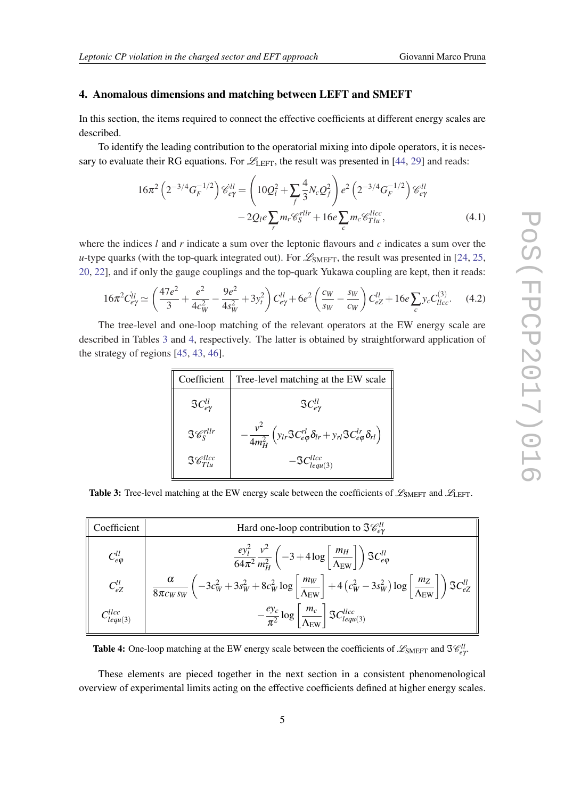#### <span id="page-5-0"></span>4. Anomalous dimensions and matching between LEFT and SMEFT

In this section, the items required to connect the effective coefficients at different energy scales are described.

To identify the leading contribution to the operatorial mixing into dipole operators, it is necessary to evaluate their RG equations. For  $\mathcal{L}_{\text{LEFT}}$ , the result was presented in [[44,](#page-9-0) [29](#page-8-0)] and reads:

$$
16\pi^2 \left( 2^{-3/4} G_F^{-1/2} \right) \mathcal{C}_{e\gamma}^{ll} = \left( 10 \mathcal{Q}_l^2 + \sum_f \frac{4}{3} N_c \mathcal{Q}_f^2 \right) e^2 \left( 2^{-3/4} G_F^{-1/2} \right) \mathcal{C}_{e\gamma}^{ll} - 2 \mathcal{Q}_l e \sum_r m_r \mathcal{C}_S^{rllr} + 16 e \sum_c m_c \mathcal{C}_{Tlu}^{llce},
$$
(4.1)

where the indices *l* and *r* indicate a sum over the leptonic flavours and *c* indicates a sum over the *u*-type quarks (with the top-quark integrated out). For  $\mathcal{L}_{SMEFT}$ , the result was presented in [\[24,](#page-8-0) [25](#page-8-0), [20](#page-8-0), [22](#page-8-0)], and if only the gauge couplings and the top-quark Yukawa coupling are kept, then it reads:

$$
16\pi^2 C_{e\gamma}^{ll} \simeq \left(\frac{47e^2}{3} + \frac{e^2}{4c_W^2} - \frac{9e^2}{4s_W^2} + 3y_t^2\right) C_{e\gamma}^{ll} + 6e^2 \left(\frac{c_W}{s_W} - \frac{s_W}{c_W}\right) C_{eZ}^{ll} + 16e \sum_c y_c C_{llcc}^{(3)}.\tag{4.2}
$$

The tree-level and one-loop matching of the relevant operators at the EW energy scale are described in Tables 3 and 4, respectively. The latter is obtained by straightforward application of the strategy of regions [[45,](#page-9-0) [43,](#page-9-0) [46](#page-9-0)].

| Coefficient                   | Tree-level matching at the EW scale                                                                             |
|-------------------------------|-----------------------------------------------------------------------------------------------------------------|
| $\Im C_{e\nu}^{ll}$           | $\Im C_{e\nu}^{ll}$                                                                                             |
| $\Im\mathcal{C}^{rllr}$       | $-\frac{v^2}{4m_H^2}\left(y_{lr}\Im C_{e\varphi}^{rl}\delta_{lr}+y_{rl}\Im C_{e\varphi}^{lr}\delta_{rl}\right)$ |
| $\Im\mathscr{C}^{llcc}_{Tlu}$ | $-\mathfrak{S}C^{llcc}_{lequ(3)}$                                                                               |

**Table 3:** Tree-level matching at the EW energy scale between the coefficients of  $\mathscr{L}_{\text{SMEFT}}$  and  $\mathscr{L}_{\text{LET}}$ .

| Coefficient          | Hard one-loop contribution to $\Im \mathcal{C}_{ev}^{ll}$                                                                                                                                                                                                  |  |  |  |
|----------------------|------------------------------------------------------------------------------------------------------------------------------------------------------------------------------------------------------------------------------------------------------------|--|--|--|
| $C_{e\varphi}^{ll}$  | $\frac{ey_l^2}{64\pi^2} \frac{v^2}{m_H^2} \left(-3 + 4\log\left[\frac{m_H}{\Lambda_{\text{EW}}}\right]\right) \Im C_{e\varphi}^{ll}$                                                                                                                       |  |  |  |
| $C_{eZ}^{ll}$        | $\begin{array}{ c c c c }\hline \alpha & \alpha\over 8\pi c_W s_W & -3c_W^2+3s_W^2+8c_W^2\log\left[\frac{m_W}{\Lambda_{\rm EW}}\right]+4\left(c_W^2-3s_W^2\right)\log\left[\frac{m_Z}{\Lambda_{\rm EW}}\right] \hline \end{array} \biggr) \Im C_{eZ}^{ll}$ |  |  |  |
| $C^{llcc}_{lequ(3)}$ | $-\frac{e y_c}{\pi^2} \log \left[\frac{m_c}{\Lambda_{\rm EW}}\right]$ $\Im C_{lequ(3)}^{llc}$                                                                                                                                                              |  |  |  |

Table 4: One-loop matching at the EW energy scale between the coefficients of  $\mathscr{L}_{SMEFT}$  and  $\Im \mathscr{C}_{e\gamma}^{ll}$ 

These elements are pieced together in the next section in a consistent phenomenological overview of experimental limits acting on the effective coefficients defined at higher energy scales.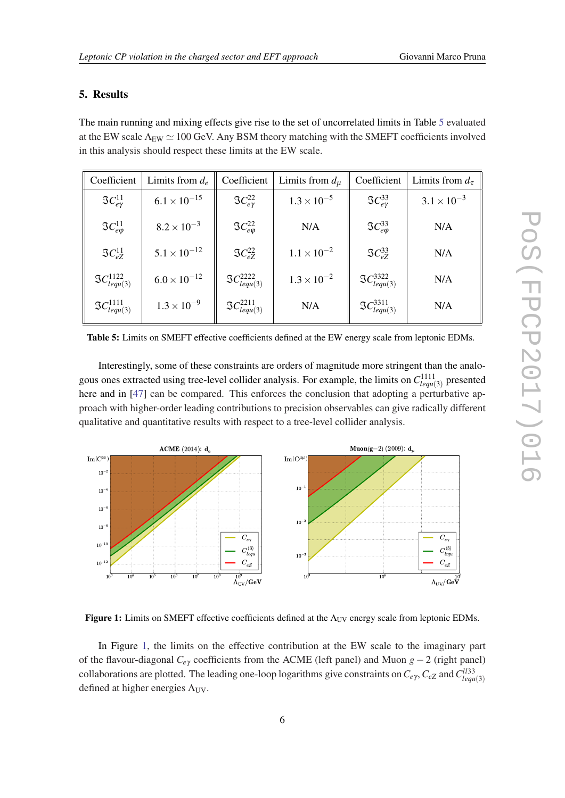# <span id="page-6-0"></span>5. Results

The main running and mixing effects give rise to the set of uncorrelated limits in Table 5 evaluated at the EW scale  $\Lambda_{EW} \simeq 100$  GeV. Any BSM theory matching with the SMEFT coefficients involved in this analysis should respect these limits at the EW scale.

| Coefficient                      | Limits from $d_e$     | Coefficient                      | Limits from $d_u$    | Coefficient                      | Limits from $d_{\tau}$ |
|----------------------------------|-----------------------|----------------------------------|----------------------|----------------------------------|------------------------|
| $\Im C^{11}_{e\nu}$              | $6.1 \times 10^{-15}$ | $\Im C^{22}_{\rm ev}$            | $1.3 \times 10^{-5}$ | $\Im C^{33}_{\rho\nu}$           | $3.1 \times 10^{-3}$   |
| $\Im C^{11}_{e\varphi}$          | $8.2 \times 10^{-3}$  | $\Im C_{e\omega}^{22}$           | N/A                  | $\Im C_{e\omega}^{33}$           | N/A                    |
| $\Im C_{eZ}^{11}$                | $5.1 \times 10^{-12}$ | $\Im C_{\rho 7}^{22}$            | $1.1 \times 10^{-2}$ | $\mathfrak{S}C_{e7}^{33}$        | N/A                    |
| $\mathfrak{S}C_{lequ(3)}^{1122}$ | $6.0 \times 10^{-12}$ | $\Im C_{lequ(3)}^{2222}$         | $1.3 \times 10^{-2}$ | $\mathfrak{S}C_{lequ(3)}^{3322}$ | N/A                    |
| $\mathfrak{S}C_{lequ(3)}^{1111}$ | $1.3 \times 10^{-9}$  | $\mathfrak{S}C^{2211}_{lequ(3)}$ | N/A                  | $\mathfrak{S}C_{lequ(3)}^{3311}$ | N/A                    |

Table 5: Limits on SMEFT effective coefficients defined at the EW energy scale from leptonic EDMs.

Interestingly, some of these constraints are orders of magnitude more stringent than the analogous ones extracted using tree-level collider analysis. For example, the limits on  $C_{lequ(3)}^{1111}$  presented here and in [\[47](#page-9-0)] can be compared. This enforces the conclusion that adopting a perturbative approach with higher-order leading contributions to precision observables can give radically different qualitative and quantitative results with respect to a tree-level collider analysis.



Figure 1: Limits on SMEFT effective coefficients defined at the  $\Lambda_{UV}$  energy scale from leptonic EDMs.

In Figure 1, the limits on the effective contribution at the EW scale to the imaginary part of the flavour-diagonal *Ce*<sup>γ</sup> coefficients from the ACME (left panel) and Muon *g*−2 (right panel) collaborations are plotted. The leading one-loop logarithms give constraints on  $C_{e\gamma}$ ,  $C_{eZ}$  and  $C_{lequ(3)}^{l133}$ defined at higher energies  $\Lambda_{UV}$ .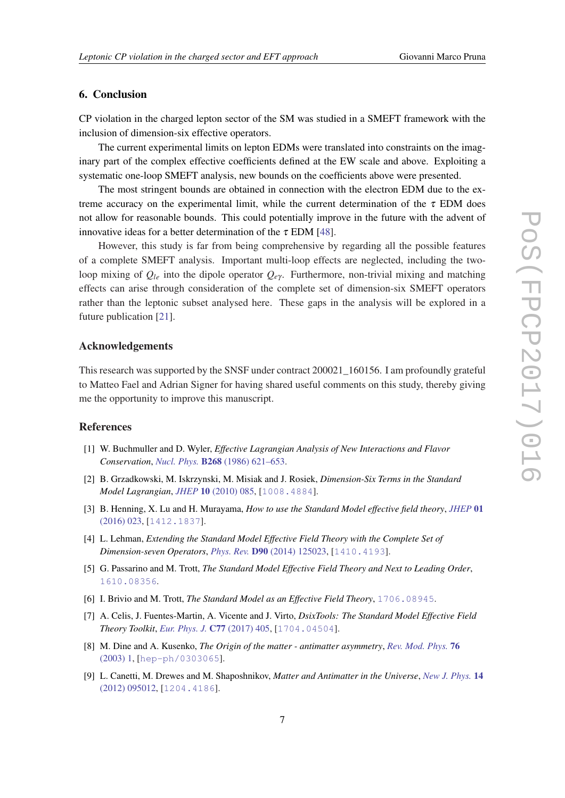# <span id="page-7-0"></span>6. Conclusion

CP violation in the charged lepton sector of the SM was studied in a SMEFT framework with the inclusion of dimension-six effective operators.

The current experimental limits on lepton EDMs were translated into constraints on the imaginary part of the complex effective coefficients defined at the EW scale and above. Exploiting a systematic one-loop SMEFT analysis, new bounds on the coefficients above were presented.

The most stringent bounds are obtained in connection with the electron EDM due to the extreme accuracy on the experimental limit, while the current determination of the  $\tau$  EDM does not allow for reasonable bounds. This could potentially improve in the future with the advent of innovative ideas for a better determination of the  $\tau$  EDM [\[48](#page-9-0)].

However, this study is far from being comprehensive by regarding all the possible features of a complete SMEFT analysis. Important multi-loop effects are neglected, including the twoloop mixing of  $Q_{le}$  into the dipole operator  $Q_{e\gamma}$ . Furthermore, non-trivial mixing and matching effects can arise through consideration of the complete set of dimension-six SMEFT operators rather than the leptonic subset analysed here. These gaps in the analysis will be explored in a future publication [[21](#page-8-0)].

### Acknowledgements

This research was supported by the SNSF under contract 200021\_160156. I am profoundly grateful to Matteo Fael and Adrian Signer for having shared useful comments on this study, thereby giving me the opportunity to improve this manuscript.

#### References

- [1] W. Buchmuller and D. Wyler, *Effective Lagrangian Analysis of New Interactions and Flavor Conservation*, *Nucl. Phys.* B268 [\(1986\) 621–653](https://doi.org/10.1016/0550-3213(86)90262-2).
- [2] B. Grzadkowski, M. Iskrzynski, M. Misiak and J. Rosiek, *Dimension-Six Terms in the Standard Model Lagrangian*, *JHEP* 10 [\(2010\) 085,](https://doi.org/10.1007/JHEP10(2010)085) [[1008.4884](https://arxiv.org/abs/1008.4884)].
- [3] B. Henning, X. Lu and H. Murayama, *How to use the Standard Model effective field theory*, *[JHEP](https://doi.org/10.1007/JHEP01(2016)023)* 01 [\(2016\) 023](https://doi.org/10.1007/JHEP01(2016)023), [[1412.1837](https://arxiv.org/abs/1412.1837)].
- [4] L. Lehman, *Extending the Standard Model Effective Field Theory with the Complete Set of Dimension-seven Operators*, *Phys. Rev.* D90 [\(2014\) 125023,](https://doi.org/10.1103/PhysRevD.90.125023) [[1410.4193](https://arxiv.org/abs/1410.4193)].
- [5] G. Passarino and M. Trott, *The Standard Model Effective Field Theory and Next to Leading Order*, [1610.08356](https://arxiv.org/abs/1610.08356).
- [6] I. Brivio and M. Trott, *The Standard Model as an Effective Field Theory*, [1706.08945](https://arxiv.org/abs/1706.08945).
- [7] A. Celis, J. Fuentes-Martin, A. Vicente and J. Virto, *DsixTools: The Standard Model Effective Field Theory Toolkit*, *[Eur. Phys. J.](https://doi.org/10.1140/epjc/s10052-017-4967-6)* C77 (2017) 405, [[1704.04504](https://arxiv.org/abs/1704.04504)].
- [8] M. Dine and A. Kusenko, *The Origin of the matter antimatter asymmetry*, *[Rev. Mod. Phys.](https://doi.org/10.1103/RevModPhys.76.1)* 76 [\(2003\) 1](https://doi.org/10.1103/RevModPhys.76.1), [[hep-ph/0303065](https://arxiv.org/abs/hep-ph/0303065)].
- [9] L. Canetti, M. Drewes and M. Shaposhnikov, *Matter and Antimatter in the Universe*, *[New J. Phys.](https://doi.org/10.1088/1367-2630/14/9/095012)* 14 [\(2012\) 095012](https://doi.org/10.1088/1367-2630/14/9/095012), [[1204.4186](https://arxiv.org/abs/1204.4186)].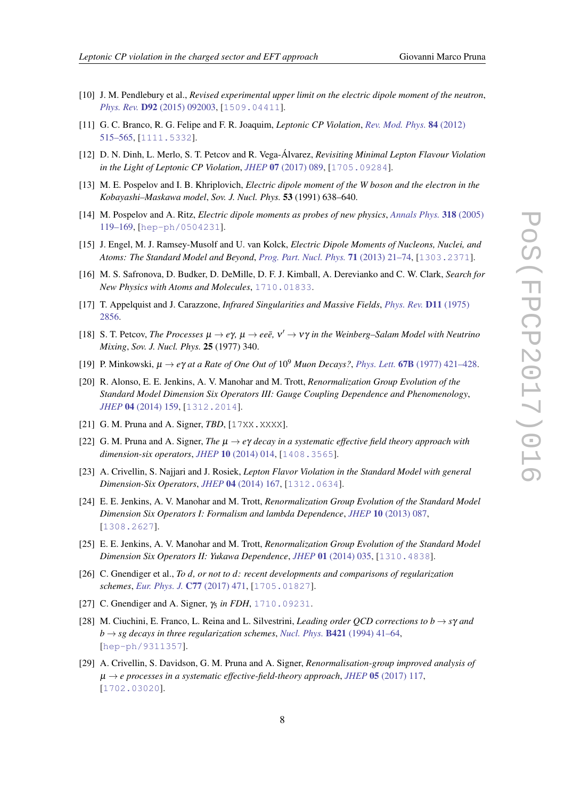- <span id="page-8-0"></span>[10] J. M. Pendlebury et al., *Revised experimental upper limit on the electric dipole moment of the neutron*, *Phys. Rev.* D92 [\(2015\) 092003](https://doi.org/10.1103/PhysRevD.92.092003), [[1509.04411](https://arxiv.org/abs/1509.04411)].
- [11] G. C. Branco, R. G. Felipe and F. R. Joaquim, *Leptonic CP Violation*, *[Rev. Mod. Phys.](https://doi.org/10.1103/RevModPhys.84.515)* 84 (2012) [515–565](https://doi.org/10.1103/RevModPhys.84.515), [[1111.5332](https://arxiv.org/abs/1111.5332)].
- [12] D. N. Dinh, L. Merlo, S. T. Petcov and R. Vega-Álvarez, *Revisiting Minimal Lepton Flavour Violation in the Light of Leptonic CP Violation*, *JHEP* 07 [\(2017\) 089,](https://doi.org/10.1007/JHEP07(2017)089) [[1705.09284](https://arxiv.org/abs/1705.09284)].
- [13] M. E. Pospelov and I. B. Khriplovich, *Electric dipole moment of the W boson and the electron in the Kobayashi–Maskawa model*, *Sov. J. Nucl. Phys.* 53 (1991) 638–640.
- [14] M. Pospelov and A. Ritz, *Electric dipole moments as probes of new physics*, *[Annals Phys.](https://doi.org/10.1016/j.aop.2005.04.002)* 318 (2005) [119–169](https://doi.org/10.1016/j.aop.2005.04.002), [[hep-ph/0504231](https://arxiv.org/abs/hep-ph/0504231)].
- [15] J. Engel, M. J. Ramsey-Musolf and U. van Kolck, *Electric Dipole Moments of Nucleons, Nuclei, and Atoms: The Standard Model and Beyond*, *[Prog. Part. Nucl. Phys.](https://doi.org/10.1016/j.ppnp.2013.03.003)* 71 (2013) 21–74, [[1303.2371](https://arxiv.org/abs/1303.2371)].
- [16] M. S. Safronova, D. Budker, D. DeMille, D. F. J. Kimball, A. Derevianko and C. W. Clark, *Search for New Physics with Atoms and Molecules*, [1710.01833](https://arxiv.org/abs/1710.01833).
- [17] T. Appelquist and J. Carazzone, *Infrared Singularities and Massive Fields*, *[Phys. Rev.](https://doi.org/10.1103/PhysRevD.11.2856)* D11 (1975) [2856](https://doi.org/10.1103/PhysRevD.11.2856).
- [18] S. T. Petcov, *The Processes*  $\mu \to e\gamma$ ,  $\mu \to ee\bar{e}$ ,  $v' \to v\gamma$  *in the Weinberg–Salam Model with Neutrino Mixing*, *Sov. J. Nucl. Phys.* 25 (1977) 340.
- [19] P. Minkowski, µ → *e*γ *at a Rate of One Out of* 10<sup>9</sup> *Muon Decays?*, *Phys. Lett.* 67B [\(1977\) 421–428.](https://doi.org/10.1016/0370-2693(77)90435-X)
- [20] R. Alonso, E. E. Jenkins, A. V. Manohar and M. Trott, *Renormalization Group Evolution of the Standard Model Dimension Six Operators III: Gauge Coupling Dependence and Phenomenology*, *JHEP* 04 [\(2014\) 159](https://doi.org/10.1007/JHEP04(2014)159), [[1312.2014](https://arxiv.org/abs/1312.2014)].
- [21] G. M. Pruna and A. Signer, *TBD*, [17XX.XXXX].
- [22] G. M. Pruna and A. Signer, *The* µ → *e*γ *decay in a systematic effective field theory approach with dimension-six operators*, *JHEP* 10 [\(2014\) 014](https://doi.org/10.1007/JHEP10(2014)014), [[1408.3565](https://arxiv.org/abs/1408.3565)].
- [23] A. Crivellin, S. Najjari and J. Rosiek, *Lepton Flavor Violation in the Standard Model with general Dimension-Six Operators*, *JHEP* 04 [\(2014\) 167,](https://doi.org/10.1007/JHEP04(2014)167) [[1312.0634](https://arxiv.org/abs/1312.0634)].
- [24] E. E. Jenkins, A. V. Manohar and M. Trott, *Renormalization Group Evolution of the Standard Model Dimension Six Operators I: Formalism and lambda Dependence*, *JHEP* 10 [\(2013\) 087,](https://doi.org/10.1007/JHEP10(2013)087) [[1308.2627](https://arxiv.org/abs/1308.2627)].
- [25] E. E. Jenkins, A. V. Manohar and M. Trott, *Renormalization Group Evolution of the Standard Model Dimension Six Operators II: Yukawa Dependence*, *JHEP* 01 [\(2014\) 035](https://doi.org/10.1007/JHEP01(2014)035), [[1310.4838](https://arxiv.org/abs/1310.4838)].
- [26] C. Gnendiger et al., *To d, or not to d: recent developments and comparisons of regularization schemes*, *[Eur. Phys. J.](https://doi.org/10.1140/epjc/s10052-017-5023-2)* C77 (2017) 471, [[1705.01827](https://arxiv.org/abs/1705.01827)].
- [27] C. Gnendiger and A. Signer, γ<sub>5</sub> in FDH, [1710.09231](https://arxiv.org/abs/1710.09231).
- [28] M. Ciuchini, E. Franco, L. Reina and L. Silvestrini, *Leading order QCD corrections to b* → *s*γ *and*  $b \rightarrow sg$  decays in three regularization schemes, *Nucl. Phys.* **B421** [\(1994\) 41–64](https://doi.org/10.1016/0550-3213(94)90223-2), [[hep-ph/9311357](https://arxiv.org/abs/hep-ph/9311357)].
- [29] A. Crivellin, S. Davidson, G. M. Pruna and A. Signer, *Renormalisation-group improved analysis of*  $\mu \rightarrow e$  processes in a systematic effective-field-theory approach, *JHEP* 05 [\(2017\) 117](https://doi.org/10.1007/JHEP05(2017)117), [[1702.03020](https://arxiv.org/abs/1702.03020)].